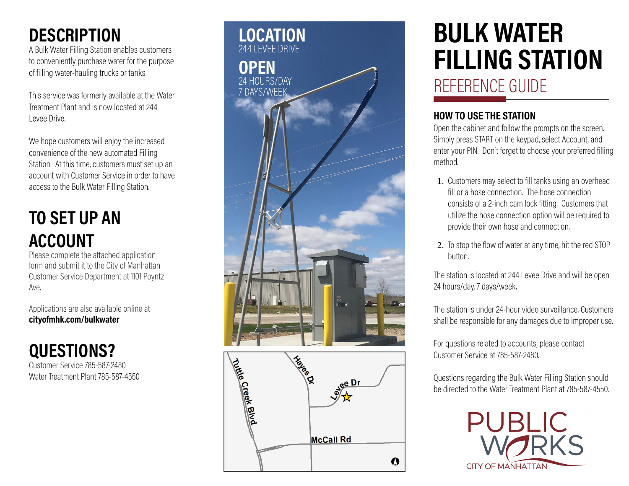### **DESCRIPTION**

A Bulk Water Filling Station enables customers to conveniently purchase water for the purpose of filling water-hauling trucks or tanks.

This service was formerly available at the Water Treatment Plant and is now located at 244 Levee Drive.

We hope customers will enjoy the increased convenience of the new automated Filling Station. At this time, customers must set up an account with Customer Service in order to have access to the Bulk Water Filling Station.

## **TO SET UP AN ACCOUNT**

Please complete the attached application form and submit it to the City of Manhattan Customer Service Department at 1101 Poyntz Ave.

Applications are also available online at **cityofmhk.com/bulkwater**

**QUESTIONS?** Customer Service 785-587-2480 Water Treatment Plant 785-587-4550



# **BULK WATER FILLING STATION**  REFERENCE GUIDE

#### **HOW TO USE THE STATION**

Open the cabinet and follow the prompts on the screen. Simply press START on the keypad, select Account, and enter your PIN. Don't forget to choose your preferred filling method.

- 1. Customers may select to fill tanks using an overhead fill or a hose connection. The hose connection consists of a 2-inch cam lock fitting. Customers that utilize the hose connection option will be required to provide their own hose and connection.
- 2. To stop the flow of water at any time, hit the red STOP button.

The station is located at 244 Levee Drive and will be open 24 hours/day, 7 days/week.

The station is under 24-hour video surveillance. Customers shall be responsible for any damages due to improper use.

For questions related to accounts, please contact Customer Service at 785-587-2480.

Questions regarding the Bulk Water Filling Station should be directed to the Water Treatment Plant at 785-587-4550.